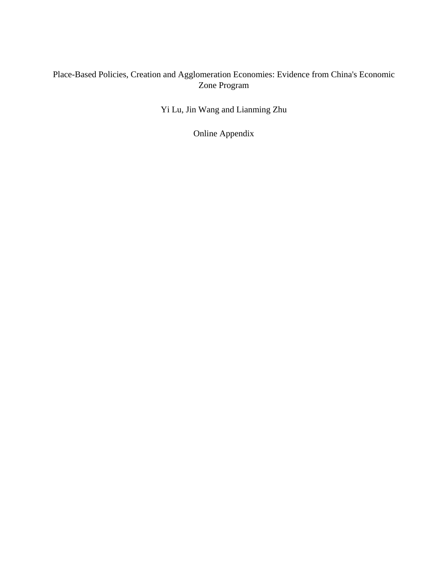# Place-Based Policies, Creation and Agglomeration Economies: Evidence from China's Economic Zone Program

Yi Lu, Jin Wang and Lianming Zhu

Online Appendix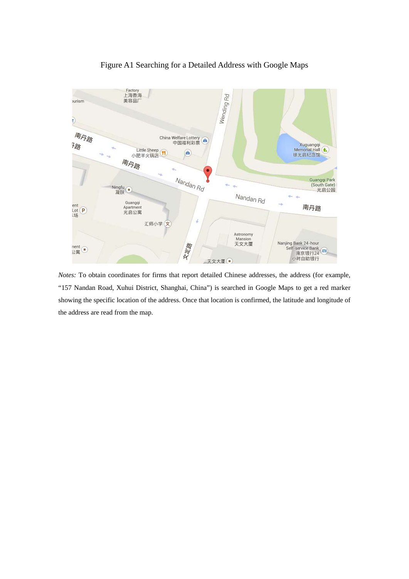

## Figure A1 Searching for a Detailed Address with Google Maps

*Notes:* To obtain coordinates for firms that report detailed Chinese addresses, the address (for example, "157 Nandan Road, Xuhui District, Shanghai, China") is searched in Google Maps to get a red marker showing the specific location of the address. Once that location is confirmed, the latitude and longitude of the address are read from the map.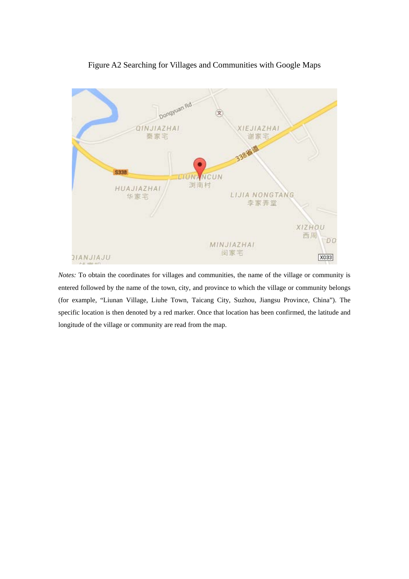### Figure A2 Searching for Villages and Communities with Google Maps



*Notes:* To obtain the coordinates for villages and communities, the name of the village or community is entered followed by the name of the town, city, and province to which the village or community belongs (for example, "Liunan Village, Liuhe Town, Taicang City, Suzhou, Jiangsu Province, China"). The specific location is then denoted by a red marker. Once that location has been confirmed, the latitude and longitude of the village or community are read from the map.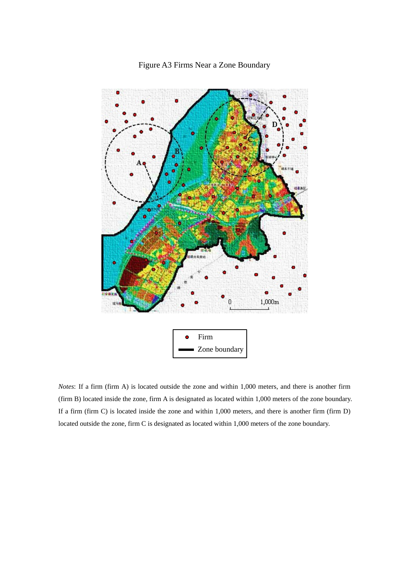

Figure A3 Firms Near a Zone Boundary

*Notes*: If a firm (firm A) is located outside the zone and within 1,000 meters, and there is another firm (firm B) located inside the zone, firm A is designated as located within 1,000 meters of the zone boundary. If a firm (firm C) is located inside the zone and within 1,000 meters, and there is another firm (firm D) located outside the zone, firm C is designated as located within 1,000 meters of the zone boundary.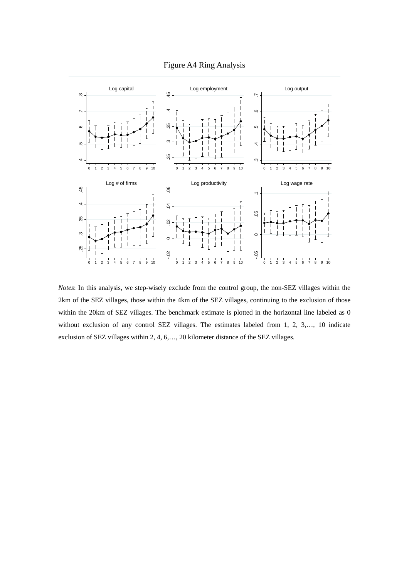



*Notes*: In this analysis, we step-wisely exclude from the control group, the non-SEZ villages within the 2km of the SEZ villages, those within the 4km of the SEZ villages, continuing to the exclusion of those within the 20km of SEZ villages. The benchmark estimate is plotted in the horizontal line labeled as 0 without exclusion of any control SEZ villages. The estimates labeled from 1, 2, 3,…, 10 indicate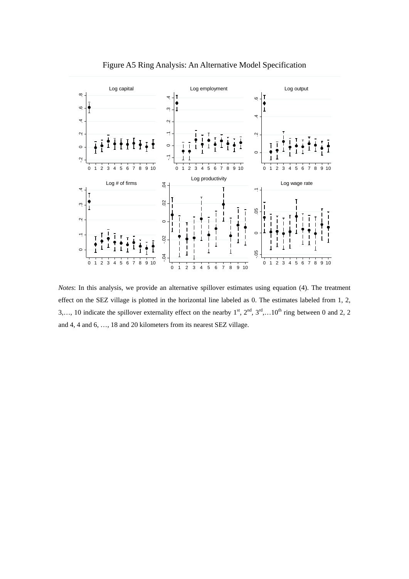

Figure A5 Ring Analysis: An Alternative Model Specification

*Notes*: In this analysis, we provide an alternative spillover estimates using equation (4). The treatment effect on the SEZ village is plotted in the horizontal line labeled as 0. The estimates labeled from 1, 2, 3,..., 10 indicate the spillover externality effect on the nearby  $1<sup>st</sup>$ ,  $2<sup>nd</sup>$ ,  $3<sup>rd</sup>$ ,...10<sup>th</sup> ring between 0 and 2, 2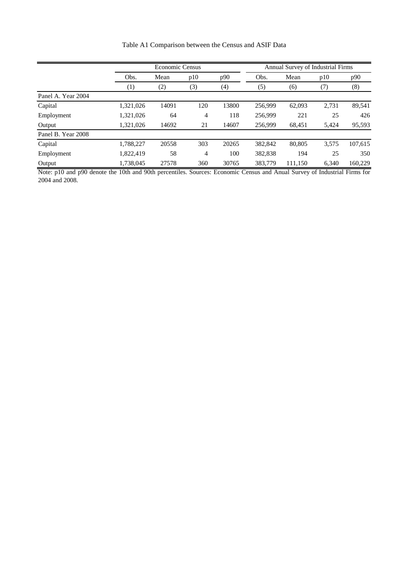| Table A1 Comparison between the Census and ASIF Data |  |  |  |
|------------------------------------------------------|--|--|--|
|------------------------------------------------------|--|--|--|

|                    | <b>Economic Census</b> |       |     |       | Annual Survey of Industrial Firms |         |       |         |
|--------------------|------------------------|-------|-----|-------|-----------------------------------|---------|-------|---------|
|                    | Obs.                   | Mean  | p10 | p90   | Obs.                              | Mean    | p10   | p90     |
|                    | (1)                    | (2)   | (3) | (4)   | (5)                               | (6)     | (7)   | (8)     |
| Panel A. Year 2004 |                        |       |     |       |                                   |         |       |         |
| Capital            | 1,321,026              | 14091 | 120 | 13800 | 256,999                           | 62,093  | 2,731 | 89,541  |
| Employment         | 1,321,026              | 64    | 4   | 118   | 256,999                           | 221     | 25    | 426     |
| Output             | 1,321,026              | 14692 | 21  | 14607 | 256,999                           | 68,451  | 5,424 | 95,593  |
| Panel B. Year 2008 |                        |       |     |       |                                   |         |       |         |
| Capital            | 1,788,227              | 20558 | 303 | 20265 | 382,842                           | 80,805  | 3,575 | 107,615 |
| Employment         | 1,822,419              | 58    | 4   | 100   | 382,838                           | 194     | 25    | 350     |
| Output             | 1,738,045              | 27578 | 360 | 30765 | 383,779                           | 111,150 | 6,340 | 160,229 |

Note: p10 and p90 denote the 10th and 90th percentiles. Sources: Economic Census and Anual Survey of Industrial Firms for 2004 and 2008.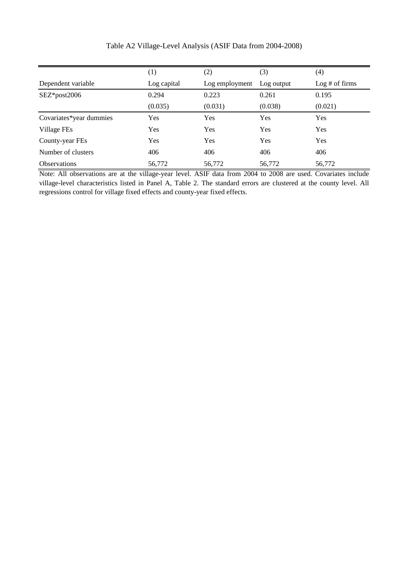|                         | (1)         | (2)            | (3)        | (4)            |
|-------------------------|-------------|----------------|------------|----------------|
| Dependent variable      | Log capital | Log employment | Log output | Log # of firms |
| SEZ*post2006            | 0.294       | 0.223          | 0.261      | 0.195          |
|                         | (0.035)     | (0.031)        | (0.038)    | (0.021)        |
| Covariates*year dummies | Yes         | Yes            | Yes        | Yes            |
| Village FEs             | Yes         | Yes            | Yes        | Yes            |
| County-year FEs         | Yes         | Yes            | Yes        | Yes            |
| Number of clusters      | 406         | 406            | 406        | 406            |
| <b>Observations</b>     | 56,772      | 56,772         | 56,772     | 56,772         |

Table A2 Village-Level Analysis (ASIF Data from 2004-2008)

Note: All observations are at the village-year level. ASIF data from 2004 to 2008 are used. Covariates include village-level characteristics listed in Panel A, Table 2. The standard errors are clustered at the county level. All regressions control for village fixed effects and county-year fixed effects.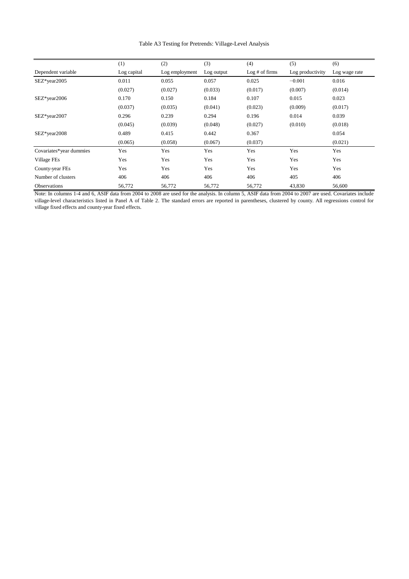(1)  $(2)$   $(3)$   $(4)$   $(5)$   $(6)$ Dependent variable Log capital Log employment Log output Log # of firms Log productivity Log wage rate SEZ\*year2005 0.011 0.055 0.057 0.025 −0.001 0.016  $(0.027)$   $(0.027)$   $(0.033)$   $(0.017)$   $(0.007)$   $(0.014)$ SEZ\*year2006 0.170 0.150 0.184 0.107 0.015 0.023  $(0.037)$   $(0.035)$   $(0.041)$   $(0.023)$   $(0.009)$   $(0.017)$ SEZ\*year2007 0.296 0.239 0.294 0.196 0.014 0.039  $(0.045)$   $(0.039)$   $(0.048)$   $(0.027)$   $(0.010)$   $(0.018)$ SEZ\*year2008 0.489 0.415 0.442 0.367 0.054  $(0.065)$   $(0.058)$   $(0.067)$   $(0.037)$   $(0.021)$ Covariates\*year dummies Yes Yes Yes Yes Yes Yes Village FEs Yes Yes Yes Yes Yes Yes County-year FEs Yes Yes Yes Yes Yes Yes Number of clusters 406 406 406 406 405 406 Observations 56,772 56,772 56,772 56,772 56,772 43,830 56,600

Table A3 Testing for Pretrends: Village-Level Analysis

Note: In columns 1-4 and 6, ASIF data from 2004 to 2008 are used for the analysis. In column 5, ASIF data from 2004 to 2007 are used. Covariates include village-level characteristics listed in Panel A of Table 2. The standard errors are reported in parentheses, clustered by county. All regressions control for village fixed effects and county-year fixed effects.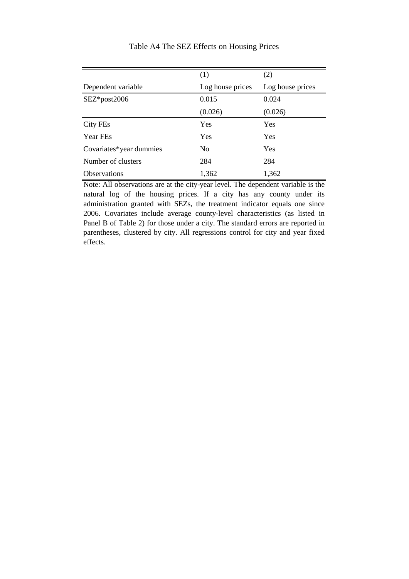|                         | (1)              | (2)              |
|-------------------------|------------------|------------------|
| Dependent variable      | Log house prices | Log house prices |
| $SEZ*post2006$          | 0.015            | 0.024            |
|                         | (0.026)          | (0.026)          |
| City FEs                | Yes              | Yes              |
| <b>Year FEs</b>         | Yes              | Yes              |
| Covariates*year dummies | N <sub>0</sub>   | Yes              |
| Number of clusters      | 284              | 284              |
| <b>Observations</b>     | 1,362            | 1,362            |

#### Table A4 The SEZ Effects on Housing Prices

Note: All observations are at the city-year level. The dependent variable is the natural log of the housing prices. If a city has any county under its administration granted with SEZs, the treatment indicator equals one since 2006. Covariates include average county-level characteristics (as listed in Panel B of Table 2) for those under a city. The standard errors are reported in parentheses, clustered by city. All regressions control for city and year fixed effects.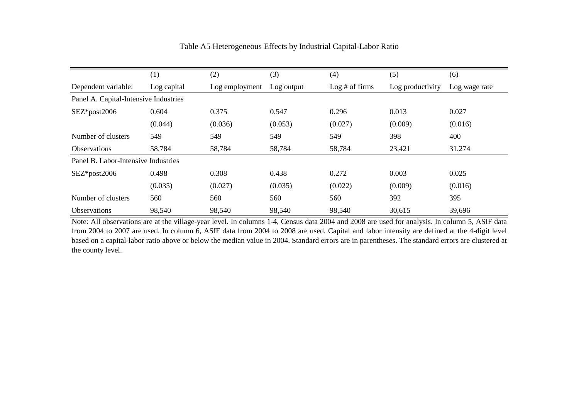|                                       | (1)         | (2)            | (3)        | (4)            | (5)              | (6)           |  |
|---------------------------------------|-------------|----------------|------------|----------------|------------------|---------------|--|
| Dependent variable:                   | Log capital | Log employment | Log output | Log # of firms | Log productivity | Log wage rate |  |
| Panel A. Capital-Intensive Industries |             |                |            |                |                  |               |  |
| $SEZ*post2006$                        | 0.604       | 0.375          | 0.547      | 0.296          | 0.013            | 0.027         |  |
|                                       | (0.044)     | (0.036)        | (0.053)    | (0.027)        | (0.009)          | (0.016)       |  |
| Number of clusters                    | 549         | 549            | 549        | 549            | 398              | 400           |  |
| <b>Observations</b>                   | 58,784      | 58,784         | 58,784     | 58,784         | 23,421           | 31,274        |  |
| Panel B. Labor-Intensive Industries   |             |                |            |                |                  |               |  |
| $SEZ*post2006$                        | 0.498       | 0.308          | 0.438      | 0.272          | 0.003            | 0.025         |  |
|                                       | (0.035)     | (0.027)        | (0.035)    | (0.022)        | (0.009)          | (0.016)       |  |
| Number of clusters                    | 560         | 560            | 560        | 560            | 392              | 395           |  |
| <b>Observations</b>                   | 98,540      | 98,540         | 98,540     | 98,540         | 30,615           | 39,696        |  |

### Table A5 Heterogeneous Effects by Industrial Capital-Labor Ratio

Note: All observations are at the village-year level. In columns 1-4, Census data 2004 and 2008 are used for analysis. In column 5, ASIF data from 2004 to 2007 are used. In column 6, ASIF data from 2004 to 2008 are used. Capital and labor intensity are defined at the 4-digit level based on a capital-labor ratio above or below the median value in 2004. Standard errors are in parentheses. The standard errors are clustered at the county level.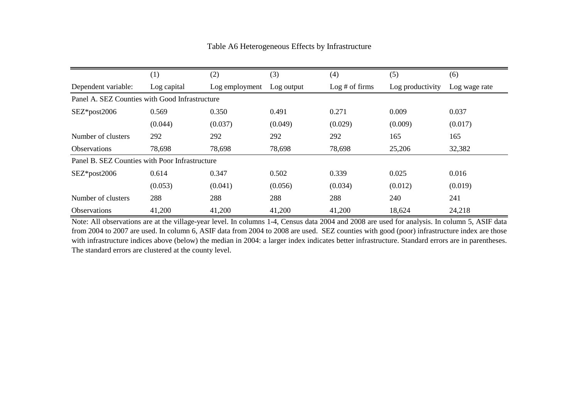|                                                | (1)         | (2)            | (3)        | (4)            | (5)              | (6)           |  |
|------------------------------------------------|-------------|----------------|------------|----------------|------------------|---------------|--|
| Dependent variable:                            | Log capital | Log employment | Log output | Log # of firms | Log productivity | Log wage rate |  |
| Panel A. SEZ Counties with Good Infrastructure |             |                |            |                |                  |               |  |
| $SEZ*post2006$                                 | 0.569       | 0.350          | 0.491      | 0.271          | 0.009            | 0.037         |  |
|                                                | (0.044)     | (0.037)        | (0.049)    | (0.029)        | (0.009)          | (0.017)       |  |
| Number of clusters                             | 292         | 292            | 292        | 292            | 165              | 165           |  |
| <b>Observations</b>                            | 78,698      | 78,698         | 78,698     | 78,698         | 25,206           | 32,382        |  |
| Panel B. SEZ Counties with Poor Infrastructure |             |                |            |                |                  |               |  |
| SEZ*post2006                                   | 0.614       | 0.347          | 0.502      | 0.339          | 0.025            | 0.016         |  |
|                                                | (0.053)     | (0.041)        | (0.056)    | (0.034)        | (0.012)          | (0.019)       |  |
| Number of clusters                             | 288         | 288            | 288        | 288            | 240              | 241           |  |
| <b>Observations</b>                            | 41,200      | 41,200         | 41,200     | 41,200         | 18,624           | 24,218        |  |

Table A6 Heterogeneous Effects by Infrastructure

Note: All observations are at the village-year level. In columns 1-4, Census data 2004 and 2008 are used for analysis. In column 5, ASIF data from 2004 to 2007 are used. In column 6, ASIF data from 2004 to 2008 are used. SEZ counties with good (poor) infrastructure index are those with infrastructure indices above (below) the median in 2004: a larger index indicates better infrastructure. Standard errors are in parentheses. The standard errors are clustered at the county level.